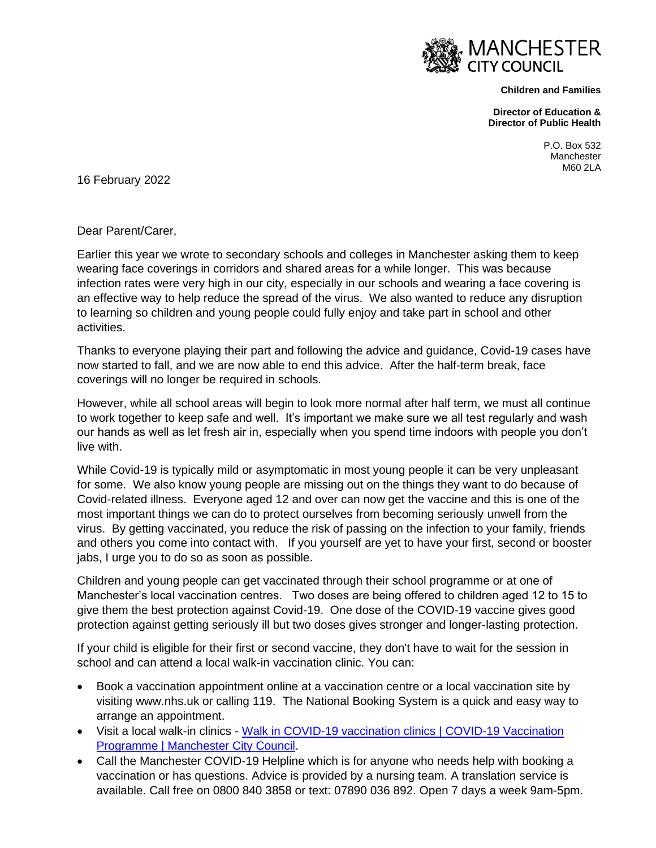

**Children and Families**

**Director of Education & Director of Public Health** 

> P.O. Box 532 **Manchester** M60 2LA

16 February 2022

Dear Parent/Carer,

Earlier this year we wrote to secondary schools and colleges in Manchester asking them to keep wearing face coverings in corridors and shared areas for a while longer. This was because infection rates were very high in our city, especially in our schools and wearing a face covering is an effective way to help reduce the spread of the virus. We also wanted to reduce any disruption to learning so children and young people could fully enjoy and take part in school and other activities.

Thanks to everyone playing their part and following the advice and guidance, Covid-19 cases have now started to fall, and we are now able to end this advice. After the half-term break, face coverings will no longer be required in schools.

However, while all school areas will begin to look more normal after half term, we must all continue to work together to keep safe and well. It's important we make sure we all test regularly and wash our hands as well as let fresh air in, especially when you spend time indoors with people you don't live with.

While Covid-19 is typically mild or asymptomatic in most young people it can be very unpleasant for some. We also know young people are missing out on the things they want to do because of Covid-related illness. Everyone aged 12 and over can now get the vaccine and this is one of the most important things we can do to protect ourselves from becoming seriously unwell from the virus. By getting vaccinated, you reduce the risk of passing on the infection to your family, friends and others you come into contact with. If you yourself are yet to have your first, second or booster jabs, I urge you to do so as soon as possible.

Children and young people can get vaccinated through their school programme or at one of Manchester's local vaccination centres. Two doses are being offered to children aged 12 to 15 to give them the best protection against Covid-19. One dose of the COVID-19 vaccine gives good protection against getting seriously ill but two doses gives stronger and longer-lasting protection.

If your child is eligible for their first or second vaccine, they don't have to wait for the session in school and can attend a local walk-in vaccination clinic. You can:

- Book a vaccination appointment online at a vaccination centre or a local vaccination site by visiting www.nhs.uk or calling 119. The National Booking System is a quick and easy way to arrange an appointment.
- Visit a local walk-in clinics [Walk in COVID-19 vaccination clinics | COVID-19 Vaccination](https://secure.manchester.gov.uk/info/500362/covid-19/8079/covid-19_vaccination_programme/5)  [Programme | Manchester City Council.](https://secure.manchester.gov.uk/info/500362/covid-19/8079/covid-19_vaccination_programme/5)
- Call the Manchester COVID-19 Helpline which is for anyone who needs help with booking a vaccination or has questions. Advice is provided by a nursing team. A translation service is available. Call free on 0800 840 3858 or text: 07890 036 892. Open 7 days a week 9am-5pm.